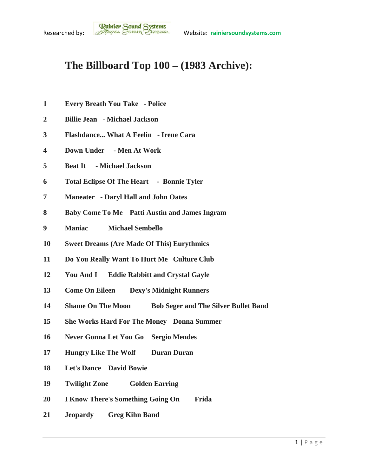## **The Billboard Top 100 – (1983 Archive):**

- **Every Breath You Take - Police**
- **Billie Jean - Michael Jackson**
- **Flashdance... What A Feelin - Irene Cara**
- **Down Under - Men At Work**
- **Beat It - Michael Jackson**
- **Total Eclipse Of The Heart Bonnie Tyler**
- **Maneater - Daryl Hall and John Oates**
- **Baby Come To Me Patti Austin and James Ingram**
- **Maniac Michael Sembello**
- **Sweet Dreams (Are Made Of This) Eurythmics**
- **Do You Really Want To Hurt Me Culture Club**
- **You And I Eddie Rabbitt and Crystal Gayle**
- **Come On Eileen Dexy's Midnight Runners**
- **Shame On The Moon Bob Seger and The Silver Bullet Band**
- **She Works Hard For The Money Donna Summer**
- **Never Gonna Let You Go Sergio Mendes**
- **Hungry Like The Wolf Duran Duran**
- **Let's Dance David Bowie**
- **Twilight Zone Golden Earring**
- **I Know There's Something Going On Frida**
- **Jeopardy Greg Kihn Band**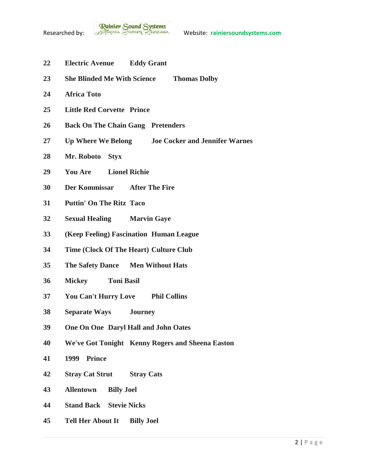

- **Electric Avenue Eddy Grant**
- **She Blinded Me With Science Thomas Dolby**
- **Africa Toto**
- **Little Red Corvette Prince**
- **Back On The Chain Gang Pretenders**
- **Up Where We Belong Joe Cocker and Jennifer Warnes**
- **Mr. Roboto Styx**
- **You Are Lionel Richie**
- **Der Kommissar After The Fire**
- **Puttin' On The Ritz Taco**
- **Sexual Healing Marvin Gaye**
- **(Keep Feeling) Fascination Human League**
- **Time (Clock Of The Heart) Culture Club**
- **The Safety Dance Men Without Hats**
- **Mickey Toni Basil**
- **You Can't Hurry Love Phil Collins**
- **Separate Ways Journey**
- **One On One Daryl Hall and John Oates**
- **We've Got Tonight Kenny Rogers and Sheena Easton**
- **1999 Prince**
- **Stray Cat Strut Stray Cats**
- **Allentown Billy Joel**
- **Stand Back Stevie Nicks**
- **Tell Her About It Billy Joel**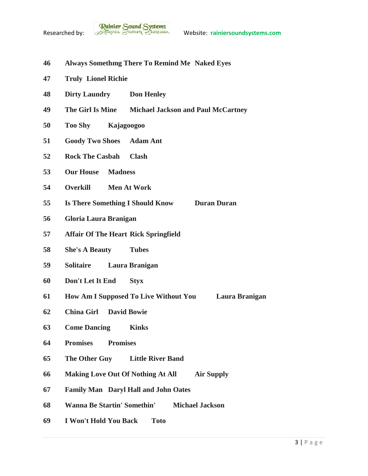

- **Always Somethmg There To Remind Me Naked Eyes**
- **Truly Lionel Richie**
- **Dirty Laundry Don Henley**
- **The Girl Is Mine Michael Jackson and Paul McCartney**
- **Too Shy Kajagoogoo**
- **Goody Two Shoes Adam Ant**
- **Rock The Casbah Clash**
- **Our House Madness**
- **Overkill Men At Work**
- **Is There Something I Should Know Duran Duran**
- **Gloria Laura Branigan**
- **Affair Of The Heart Rick Springfield**
- **She's A Beauty Tubes**
- **Solitaire Laura Branigan**
- **Don't Let It End Styx**
- **How Am I Supposed To Live Without You Laura Branigan**
- **China Girl David Bowie**
- **Come Dancing Kinks**
- **Promises Promises**
- **The Other Guy Little River Band**
- **Making Love Out Of Nothing At All Air Supply**
- **Family Man Daryl Hall and John Oates**
- **Wanna Be Startin' Somethin' Michael Jackson**
- **I Won't Hold You Back Toto**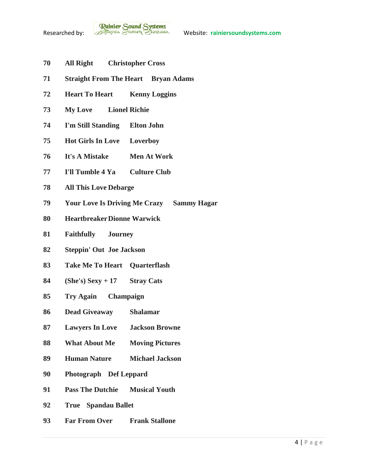- **All Right Christopher Cross**
- **Straight From The Heart Bryan Adams**
- **Heart To Heart Kenny Loggins**
- **My Love Lionel Richie**
- **I'm Still Standing Elton John**
- **Hot Girls In Love Loverboy**
- **It's A Mistake Men At Work**
- **I'll Tumble 4 Ya Culture Club**
- **All This Love Debarge**
- **Your Love Is Driving Me Crazy Sammy Hagar**
- **HeartbreakerDionne Warwick**
- **Faithfully Journey**
- **Steppin' Out Joe Jackson**
- **Take Me To Heart Quarterflash**
- **(She's) Sexy + 17 Stray Cats**
- **Try Again Champaign**
- **Dead Giveaway Shalamar**
- **Lawyers In Love Jackson Browne**
- **What About Me Moving Pictures**
- **Human Nature Michael Jackson**
- **Photograph Def Leppard**
- **Pass The Dutchie Musical Youth**
- **True Spandau Ballet**
- **Far From Over Frank Stallone**